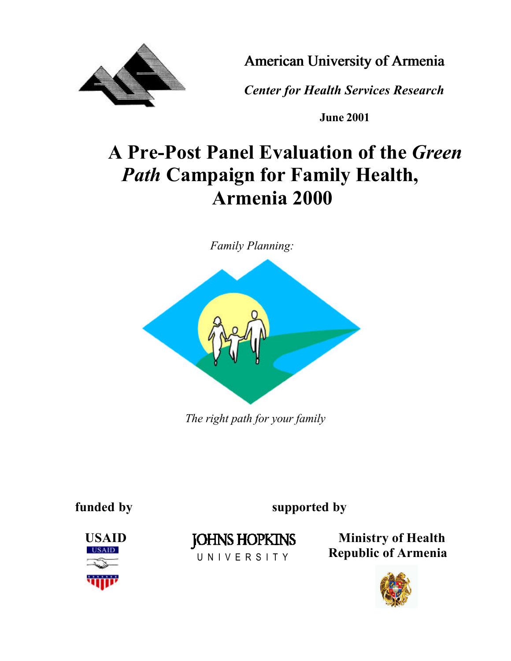

*American University of Armenia*

 *Center for Health Services Research*

**June 2001**

# **A Pre-Post Panel Evaluation of the** *Green Path* **Campaign for Family Health, Armenia 2000**

*Family Planning:*



*The right path for your family*

**funded by supported by**



U N I V E R S I T Y

USAID **JOHNS HOPKINS** Ministry of Health  **Republic of Armenia**

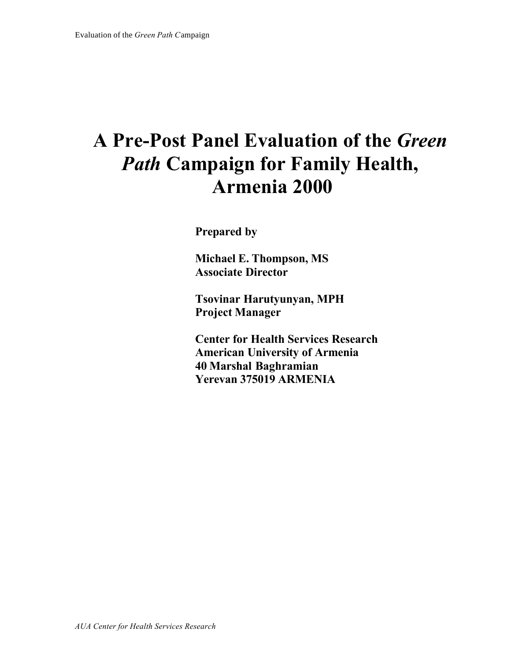# **A Pre-Post Panel Evaluation of the** *Green Path* **Campaign for Family Health, Armenia 2000**

**Prepared by**

**Michael E. Thompson, MS Associate Director**

**Tsovinar Harutyunyan, MPH Project Manager**

**Center for Health Services Research American University of Armenia 40 Marshal Baghramian Yerevan 375019 ARMENIA**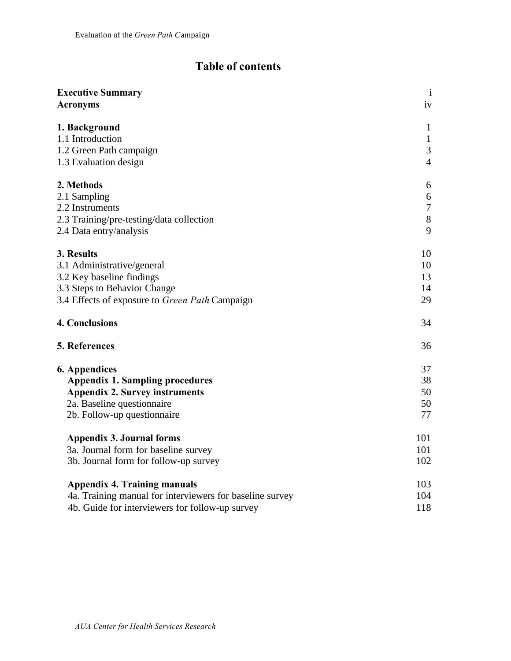## **Table of contents**

| <b>Executive Summary</b>                                 | $\mathbf{i}$   |
|----------------------------------------------------------|----------------|
| <b>Acronyms</b>                                          | iv             |
| 1. Background                                            | 1              |
| 1.1 Introduction                                         | $\mathbf{1}$   |
| 1.2 Green Path campaign                                  | 3              |
| 1.3 Evaluation design                                    | $\overline{4}$ |
| 2. Methods                                               | 6              |
| 2.1 Sampling                                             | 6              |
| 2.2 Instruments                                          | $\tau$         |
| 2.3 Training/pre-testing/data collection                 | $8\,$          |
| 2.4 Data entry/analysis                                  | 9              |
| 3. Results                                               | 10             |
| 3.1 Administrative/general                               | 10             |
| 3.2 Key baseline findings                                | 13             |
| 3.3 Steps to Behavior Change                             | 14             |
| 3.4 Effects of exposure to Green Path Campaign           | 29             |
| <b>4. Conclusions</b>                                    | 34             |
| 5. References                                            | 36             |
| <b>6. Appendices</b>                                     | 37             |
| <b>Appendix 1. Sampling procedures</b>                   | 38             |
| <b>Appendix 2. Survey instruments</b>                    | 50             |
| 2a. Baseline questionnaire                               | 50             |
| 2b. Follow-up questionnaire                              | 77             |
| <b>Appendix 3. Journal forms</b>                         | 101            |
| 3a. Journal form for baseline survey                     | 101            |
| 3b. Journal form for follow-up survey                    | 102            |
| <b>Appendix 4. Training manuals</b>                      | 103            |
| 4a. Training manual for interviewers for baseline survey | 104            |
| 4b. Guide for interviewers for follow-up survey          | 118            |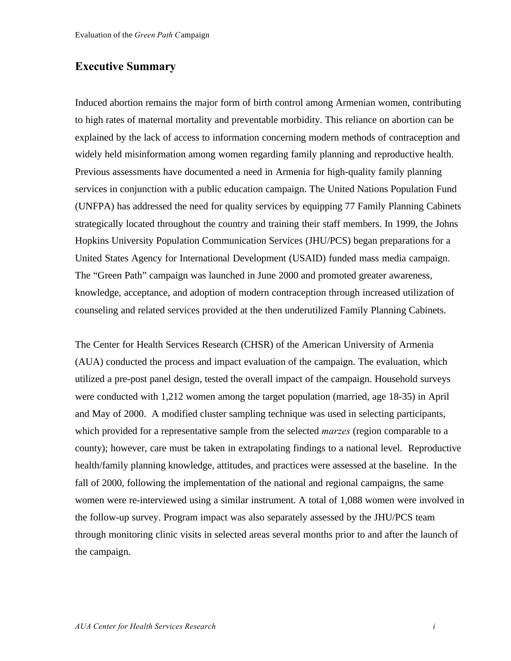#### **Executive Summary**

Induced abortion remains the major form of birth control among Armenian women, contributing to high rates of maternal mortality and preventable morbidity. This reliance on abortion can be explained by the lack of access to information concerning modern methods of contraception and widely held misinformation among women regarding family planning and reproductive health. Previous assessments have documented a need in Armenia for high-quality family planning services in conjunction with a public education campaign. The United Nations Population Fund (UNFPA) has addressed the need for quality services by equipping 77 Family Planning Cabinets strategically located throughout the country and training their staff members. In 1999, the Johns Hopkins University Population Communication Services (JHU/PCS) began preparations for a United States Agency for International Development (USAID) funded mass media campaign. The "Green Path" campaign was launched in June 2000 and promoted greater awareness, knowledge, acceptance, and adoption of modern contraception through increased utilization of counseling and related services provided at the then underutilized Family Planning Cabinets.

The Center for Health Services Research (CHSR) of the American University of Armenia (AUA) conducted the process and impact evaluation of the campaign. The evaluation, which utilized a pre-post panel design, tested the overall impact of the campaign. Household surveys were conducted with 1,212 women among the target population (married, age 18-35) in April and May of 2000. A modified cluster sampling technique was used in selecting participants, which provided for a representative sample from the selected *marzes* (region comparable to a county); however, care must be taken in extrapolating findings to a national level. Reproductive health/family planning knowledge, attitudes, and practices were assessed at the baseline. In the fall of 2000, following the implementation of the national and regional campaigns, the same women were re-interviewed using a similar instrument. A total of 1,088 women were involved in the follow-up survey. Program impact was also separately assessed by the JHU/PCS team through monitoring clinic visits in selected areas several months prior to and after the launch of the campaign.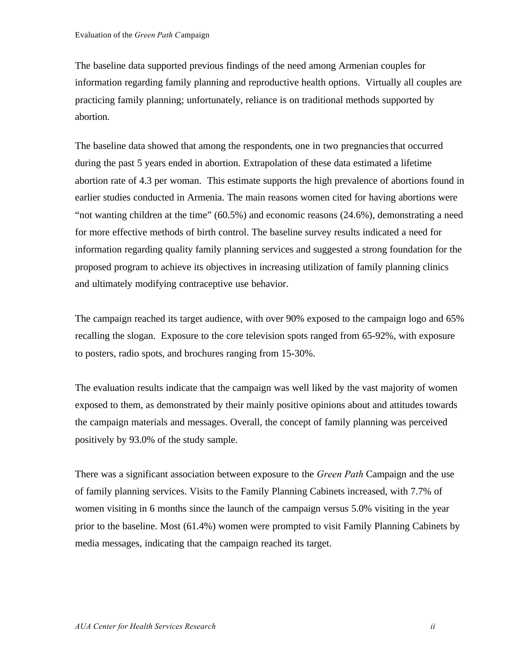The baseline data supported previous findings of the need among Armenian couples for information regarding family planning and reproductive health options. Virtually all couples are practicing family planning; unfortunately, reliance is on traditional methods supported by abortion.

The baseline data showed that among the respondents, one in two pregnancies that occurred during the past 5 years ended in abortion. Extrapolation of these data estimated a lifetime abortion rate of 4.3 per woman. This estimate supports the high prevalence of abortions found in earlier studies conducted in Armenia. The main reasons women cited for having abortions were "not wanting children at the time" (60.5%) and economic reasons (24.6%), demonstrating a need for more effective methods of birth control. The baseline survey results indicated a need for information regarding quality family planning services and suggested a strong foundation for the proposed program to achieve its objectives in increasing utilization of family planning clinics and ultimately modifying contraceptive use behavior.

The campaign reached its target audience, with over 90% exposed to the campaign logo and 65% recalling the slogan. Exposure to the core television spots ranged from 65-92%, with exposure to posters, radio spots, and brochures ranging from 15-30%.

The evaluation results indicate that the campaign was well liked by the vast majority of women exposed to them, as demonstrated by their mainly positive opinions about and attitudes towards the campaign materials and messages. Overall, the concept of family planning was perceived positively by 93.0% of the study sample.

There was a significant association between exposure to the *Green Path* Campaign and the use of family planning services. Visits to the Family Planning Cabinets increased, with 7.7% of women visiting in 6 months since the launch of the campaign versus 5.0% visiting in the year prior to the baseline. Most (61.4%) women were prompted to visit Family Planning Cabinets by media messages, indicating that the campaign reached its target.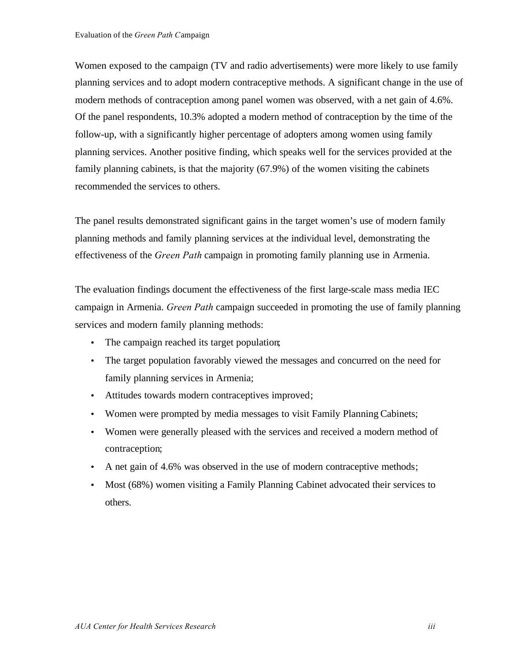Women exposed to the campaign (TV and radio advertisements) were more likely to use family planning services and to adopt modern contraceptive methods. A significant change in the use of modern methods of contraception among panel women was observed, with a net gain of 4.6%. Of the panel respondents, 10.3% adopted a modern method of contraception by the time of the follow-up, with a significantly higher percentage of adopters among women using family planning services. Another positive finding, which speaks well for the services provided at the family planning cabinets, is that the majority (67.9%) of the women visiting the cabinets recommended the services to others.

The panel results demonstrated significant gains in the target women's use of modern family planning methods and family planning services at the individual level, demonstrating the effectiveness of the *Green Path* campaign in promoting family planning use in Armenia.

The evaluation findings document the effectiveness of the first large-scale mass media IEC campaign in Armenia. *Green Path* campaign succeeded in promoting the use of family planning services and modern family planning methods:

- The campaign reached its target population;
- The target population favorably viewed the messages and concurred on the need for family planning services in Armenia;
- Attitudes towards modern contraceptives improved;
- Women were prompted by media messages to visit Family Planning Cabinets;
- Women were generally pleased with the services and received a modern method of contraception;
- A net gain of 4.6% was observed in the use of modern contraceptive methods;
- Most (68%) women visiting a Family Planning Cabinet advocated their services to others.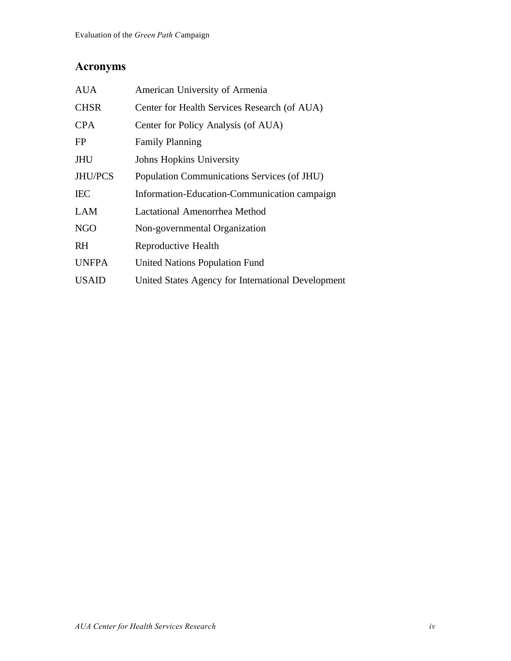### **Acronyms**

| <b>AUA</b>   | American University of Armenia                     |
|--------------|----------------------------------------------------|
| <b>CHSR</b>  | Center for Health Services Research (of AUA)       |
| <b>CPA</b>   | Center for Policy Analysis (of AUA)                |
| FP           | <b>Family Planning</b>                             |
| <b>JHU</b>   | Johns Hopkins University                           |
| JHU/PCS      | Population Communications Services (of JHU)        |
| <b>IEC</b>   | Information-Education-Communication campaign       |
| <b>LAM</b>   | Lactational Amenorrhea Method                      |
| <b>NGO</b>   | Non-governmental Organization                      |
| <b>RH</b>    | Reproductive Health                                |
| <b>UNFPA</b> | <b>United Nations Population Fund</b>              |
| <b>USAID</b> | United States Agency for International Development |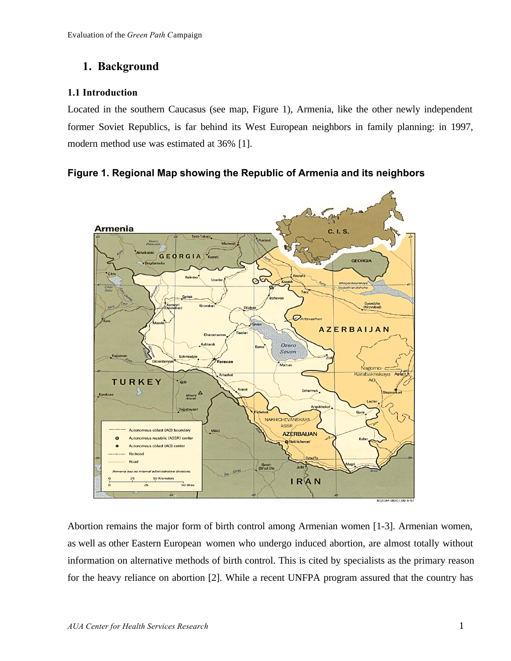#### **1. Background**

#### **1.1 Introduction**

Located in the southern Caucasus (see map, Figure 1), Armenia, like the other newly independent former Soviet Republics, is far behind its West European neighbors in family planning: in 1997, modern method use was estimated at 36% [1].

#### **Figure 1. Regional Map showing the Republic of Armenia and its neighbors**



Abortion remains the major form of birth control among Armenian women [1-3]. Armenian women, as well as other Eastern European women who undergo induced abortion, are almost totally without information on alternative methods of birth control. This is cited by specialists as the primary reason for the heavy reliance on abortion [2]. While a recent UNFPA program assured that the country has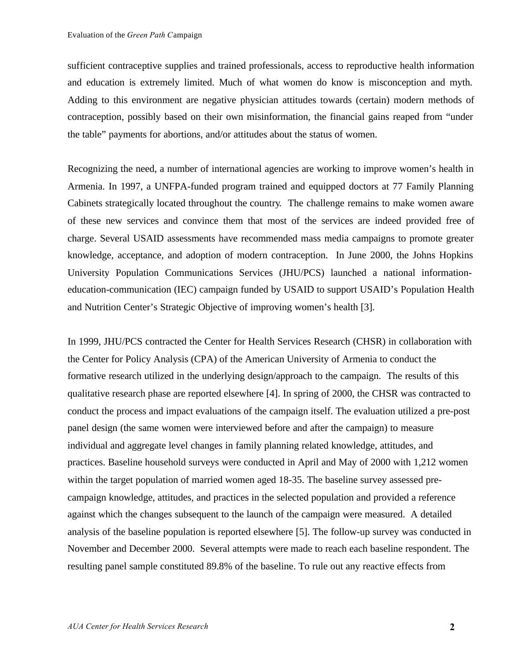sufficient contraceptive supplies and trained professionals, access to reproductive health information and education is extremely limited. Much of what women do know is misconception and myth. Adding to this environment are negative physician attitudes towards (certain) modern methods of contraception, possibly based on their own misinformation, the financial gains reaped from "under the table" payments for abortions, and/or attitudes about the status of women.

Recognizing the need, a number of international agencies are working to improve women's health in Armenia. In 1997, a UNFPA-funded program trained and equipped doctors at 77 Family Planning Cabinets strategically located throughout the country. The challenge remains to make women aware of these new services and convince them that most of the services are indeed provided free of charge. Several USAID assessments have recommended mass media campaigns to promote greater knowledge, acceptance, and adoption of modern contraception. In June 2000, the Johns Hopkins University Population Communications Services (JHU/PCS) launched a national informationeducation-communication (IEC) campaign funded by USAID to support USAID's Population Health and Nutrition Center's Strategic Objective of improving women's health [3].

In 1999, JHU/PCS contracted the Center for Health Services Research (CHSR) in collaboration with the Center for Policy Analysis (CPA) of the American University of Armenia to conduct the formative research utilized in the underlying design/approach to the campaign. The results of this qualitative research phase are reported elsewhere [4]. In spring of 2000, the CHSR was contracted to conduct the process and impact evaluations of the campaign itself. The evaluation utilized a pre-post panel design (the same women were interviewed before and after the campaign) to measure individual and aggregate level changes in family planning related knowledge, attitudes, and practices. Baseline household surveys were conducted in April and May of 2000 with 1,212 women within the target population of married women aged 18-35. The baseline survey assessed precampaign knowledge, attitudes, and practices in the selected population and provided a reference against which the changes subsequent to the launch of the campaign were measured. A detailed analysis of the baseline population is reported elsewhere [5]. The follow-up survey was conducted in November and December 2000. Several attempts were made to reach each baseline respondent. The resulting panel sample constituted 89.8% of the baseline. To rule out any reactive effects from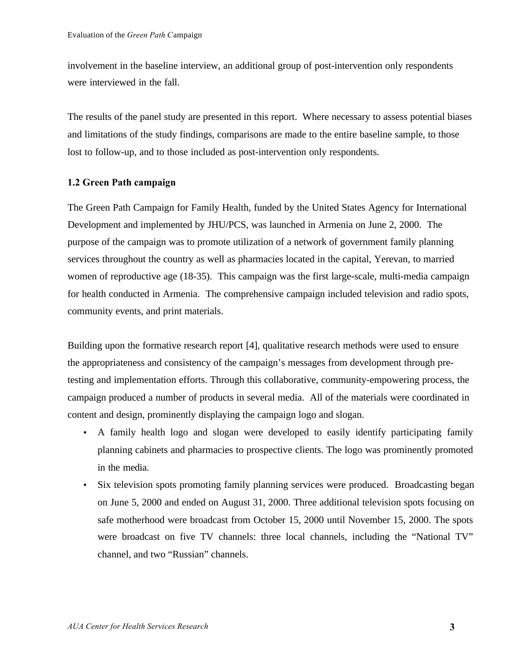involvement in the baseline interview, an additional group of post-intervention only respondents were interviewed in the fall.

The results of the panel study are presented in this report. Where necessary to assess potential biases and limitations of the study findings, comparisons are made to the entire baseline sample, to those lost to follow-up, and to those included as post-intervention only respondents.

#### **1.2 Green Path campaign**

The Green Path Campaign for Family Health, funded by the United States Agency for International Development and implemented by JHU/PCS, was launched in Armenia on June 2, 2000. The purpose of the campaign was to promote utilization of a network of government family planning services throughout the country as well as pharmacies located in the capital, Yerevan, to married women of reproductive age (18-35). This campaign was the first large-scale, multi-media campaign for health conducted in Armenia. The comprehensive campaign included television and radio spots, community events, and print materials.

Building upon the formative research report [4], qualitative research methods were used to ensure the appropriateness and consistency of the campaign's messages from development through pretesting and implementation efforts. Through this collaborative, community-empowering process, the campaign produced a number of products in several media. All of the materials were coordinated in content and design, prominently displaying the campaign logo and slogan.

- A family health logo and slogan were developed to easily identify participating family planning cabinets and pharmacies to prospective clients. The logo was prominently promoted in the media.
- Six television spots promoting family planning services were produced. Broadcasting began on June 5, 2000 and ended on August 31, 2000. Three additional television spots focusing on safe motherhood were broadcast from October 15, 2000 until November 15, 2000. The spots were broadcast on five TV channels: three local channels, including the "National TV" channel, and two "Russian" channels.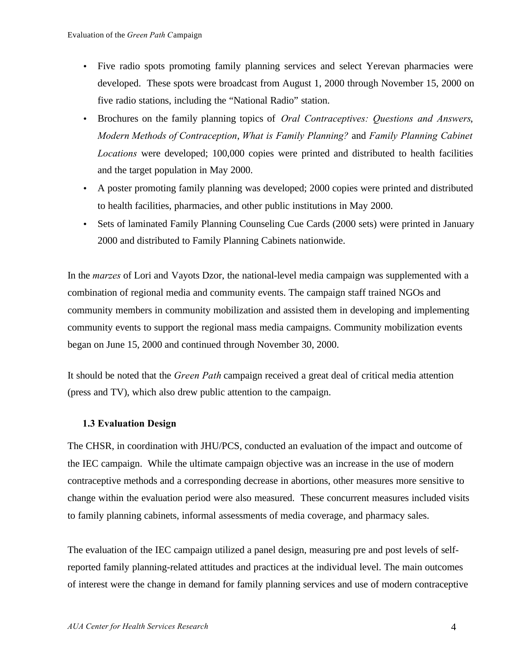- Five radio spots promoting family planning services and select Yerevan pharmacies were developed. These spots were broadcast from August 1, 2000 through November 15, 2000 on five radio stations, including the "National Radio" station.
- Brochures on the family planning topics of *Oral Contraceptives: Questions and Answers*, *Modern Methods of Contraception*, *What is Family Planning?* and *Family Planning Cabinet Locations* were developed; 100,000 copies were printed and distributed to health facilities and the target population in May 2000.
- A poster promoting family planning was developed; 2000 copies were printed and distributed to health facilities, pharmacies, and other public institutions in May 2000.
- Sets of laminated Family Planning Counseling Cue Cards (2000 sets) were printed in January 2000 and distributed to Family Planning Cabinets nationwide.

In the *marzes* of Lori and Vayots Dzor, the national-level media campaign was supplemented with a combination of regional media and community events. The campaign staff trained NGOs and community members in community mobilization and assisted them in developing and implementing community events to support the regional mass media campaigns. Community mobilization events began on June 15, 2000 and continued through November 30, 2000.

It should be noted that the *Green Path* campaign received a great deal of critical media attention (press and TV), which also drew public attention to the campaign.

#### **1.3 Evaluation Design**

The CHSR, in coordination with JHU/PCS, conducted an evaluation of the impact and outcome of the IEC campaign. While the ultimate campaign objective was an increase in the use of modern contraceptive methods and a corresponding decrease in abortions, other measures more sensitive to change within the evaluation period were also measured. These concurrent measures included visits to family planning cabinets, informal assessments of media coverage, and pharmacy sales.

The evaluation of the IEC campaign utilized a panel design, measuring pre and post levels of selfreported family planning-related attitudes and practices at the individual level. The main outcomes of interest were the change in demand for family planning services and use of modern contraceptive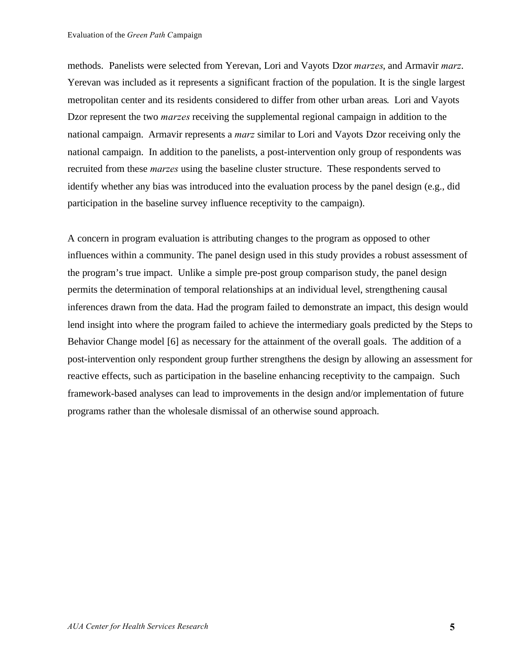methods. Panelists were selected from Yerevan, Lori and Vayots Dzor *marzes*, and Armavir *marz*. Yerevan was included as it represents a significant fraction of the population. It is the single largest metropolitan center and its residents considered to differ from other urban areas. Lori and Vayots Dzor represent the two *marzes* receiving the supplemental regional campaign in addition to the national campaign. Armavir represents a *marz* similar to Lori and Vayots Dzor receiving only the national campaign. In addition to the panelists, a post-intervention only group of respondents was recruited from these *marzes* using the baseline cluster structure. These respondents served to identify whether any bias was introduced into the evaluation process by the panel design (e.g., did participation in the baseline survey influence receptivity to the campaign).

A concern in program evaluation is attributing changes to the program as opposed to other influences within a community. The panel design used in this study provides a robust assessment of the program's true impact. Unlike a simple pre-post group comparison study, the panel design permits the determination of temporal relationships at an individual level, strengthening causal inferences drawn from the data. Had the program failed to demonstrate an impact, this design would lend insight into where the program failed to achieve the intermediary goals predicted by the Steps to Behavior Change model [6] as necessary for the attainment of the overall goals. The addition of a post-intervention only respondent group further strengthens the design by allowing an assessment for reactive effects, such as participation in the baseline enhancing receptivity to the campaign. Such framework-based analyses can lead to improvements in the design and/or implementation of future programs rather than the wholesale dismissal of an otherwise sound approach.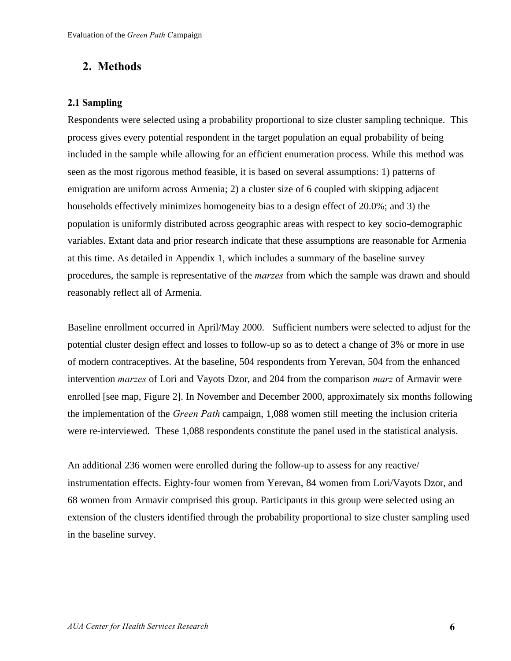#### **2. Methods**

#### **2.1 Sampling**

Respondents were selected using a probability proportional to size cluster sampling technique. This process gives every potential respondent in the target population an equal probability of being included in the sample while allowing for an efficient enumeration process. While this method was seen as the most rigorous method feasible, it is based on several assumptions: 1) patterns of emigration are uniform across Armenia; 2) a cluster size of 6 coupled with skipping adjacent households effectively minimizes homogeneity bias to a design effect of 20.0%; and 3) the population is uniformly distributed across geographic areas with respect to key socio-demographic variables. Extant data and prior research indicate that these assumptions are reasonable for Armenia at this time. As detailed in Appendix 1, which includes a summary of the baseline survey procedures, the sample is representative of the *marzes* from which the sample was drawn and should reasonably reflect all of Armenia.

Baseline enrollment occurred in April/May 2000. Sufficient numbers were selected to adjust for the potential cluster design effect and losses to follow-up so as to detect a change of 3% or more in use of modern contraceptives. At the baseline, 504 respondents from Yerevan, 504 from the enhanced intervention *marzes* of Lori and Vayots Dzor, and 204 from the comparison *marz* of Armavir were enrolled [see map, Figure 2]. In November and December 2000, approximately six months following the implementation of the *Green Path* campaign, 1,088 women still meeting the inclusion criteria were re-interviewed. These 1,088 respondents constitute the panel used in the statistical analysis.

An additional 236 women were enrolled during the follow-up to assess for any reactive/ instrumentation effects. Eighty-four women from Yerevan, 84 women from Lori/Vayots Dzor, and 68 women from Armavir comprised this group. Participants in this group were selected using an extension of the clusters identified through the probability proportional to size cluster sampling used in the baseline survey.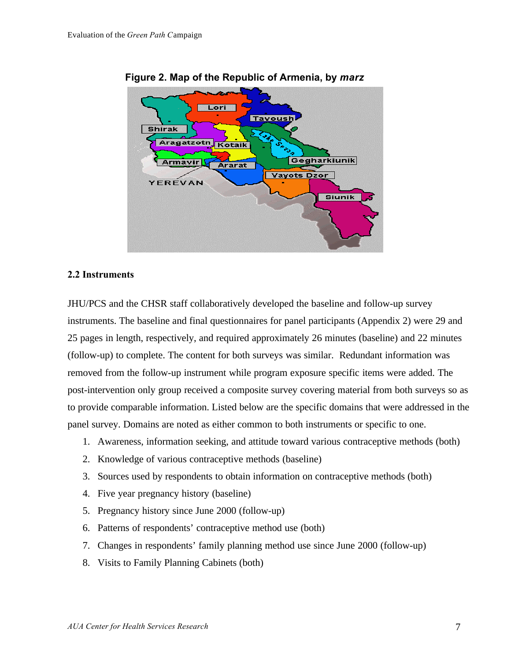

#### **Figure 2. Map of the Republic of Armenia, by** *marz*

#### **2.2 Instruments**

JHU/PCS and the CHSR staff collaboratively developed the baseline and follow-up survey instruments. The baseline and final questionnaires for panel participants (Appendix 2) were 29 and 25 pages in length, respectively, and required approximately 26 minutes (baseline) and 22 minutes (follow-up) to complete. The content for both surveys was similar. Redundant information was removed from the follow-up instrument while program exposure specific items were added. The post-intervention only group received a composite survey covering material from both surveys so as to provide comparable information. Listed below are the specific domains that were addressed in the panel survey. Domains are noted as either common to both instruments or specific to one.

- 1. Awareness, information seeking, and attitude toward various contraceptive methods (both)
- 2. Knowledge of various contraceptive methods (baseline)
- 3. Sources used by respondents to obtain information on contraceptive methods (both)
- 4. Five year pregnancy history (baseline)
- 5. Pregnancy history since June 2000 (follow-up)
- 6. Patterns of respondents' contraceptive method use (both)
- 7. Changes in respondents' family planning method use since June 2000 (follow-up)
- 8. Visits to Family Planning Cabinets (both)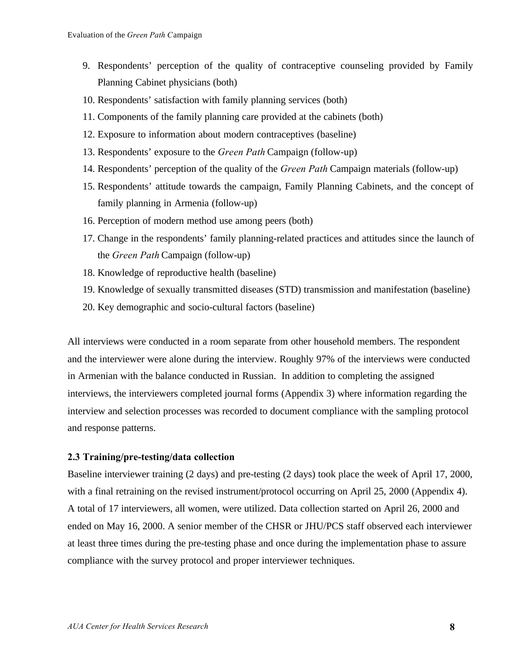- 9. Respondents' perception of the quality of contraceptive counseling provided by Family Planning Cabinet physicians (both)
- 10. Respondents' satisfaction with family planning services (both)
- 11. Components of the family planning care provided at the cabinets (both)
- 12. Exposure to information about modern contraceptives (baseline)
- 13. Respondents' exposure to the *Green Path* Campaign (follow-up)
- 14. Respondents' perception of the quality of the *Green Path* Campaign materials (follow-up)
- 15. Respondents' attitude towards the campaign, Family Planning Cabinets, and the concept of family planning in Armenia (follow-up)
- 16. Perception of modern method use among peers (both)
- 17. Change in the respondents' family planning-related practices and attitudes since the launch of the *Green Path* Campaign (follow-up)
- 18. Knowledge of reproductive health (baseline)
- 19. Knowledge of sexually transmitted diseases (STD) transmission and manifestation (baseline)
- 20. Key demographic and socio-cultural factors (baseline)

All interviews were conducted in a room separate from other household members. The respondent and the interviewer were alone during the interview. Roughly 97% of the interviews were conducted in Armenian with the balance conducted in Russian. In addition to completing the assigned interviews, the interviewers completed journal forms (Appendix 3) where information regarding the interview and selection processes was recorded to document compliance with the sampling protocol and response patterns.

#### **2.3 Training/pre-testing/data collection**

Baseline interviewer training (2 days) and pre-testing (2 days) took place the week of April 17, 2000, with a final retraining on the revised instrument/protocol occurring on April 25, 2000 (Appendix 4). A total of 17 interviewers, all women, were utilized. Data collection started on April 26, 2000 and ended on May 16, 2000. A senior member of the CHSR or JHU/PCS staff observed each interviewer at least three times during the pre-testing phase and once during the implementation phase to assure compliance with the survey protocol and proper interviewer techniques.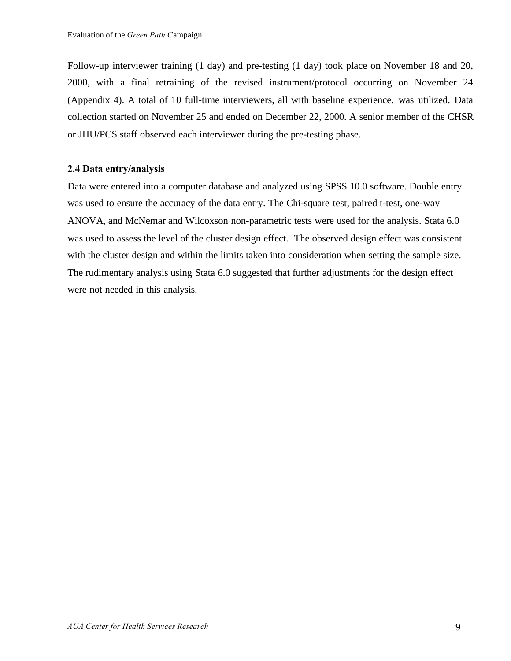Follow-up interviewer training (1 day) and pre-testing (1 day) took place on November 18 and 20, 2000, with a final retraining of the revised instrument/protocol occurring on November 24 (Appendix 4). A total of 10 full-time interviewers, all with baseline experience, was utilized. Data collection started on November 25 and ended on December 22, 2000. A senior member of the CHSR or JHU/PCS staff observed each interviewer during the pre-testing phase.

#### **2.4 Data entry/analysis**

Data were entered into a computer database and analyzed using SPSS 10.0 software. Double entry was used to ensure the accuracy of the data entry. The Chi-square test, paired t-test, one-way ANOVA, and McNemar and Wilcoxson non-parametric tests were used for the analysis. Stata 6.0 was used to assess the level of the cluster design effect.The observed design effect was consistent with the cluster design and within the limits taken into consideration when setting the sample size. The rudimentary analysis using Stata 6.0 suggested that further adjustments for the design effect were not needed in this analysis.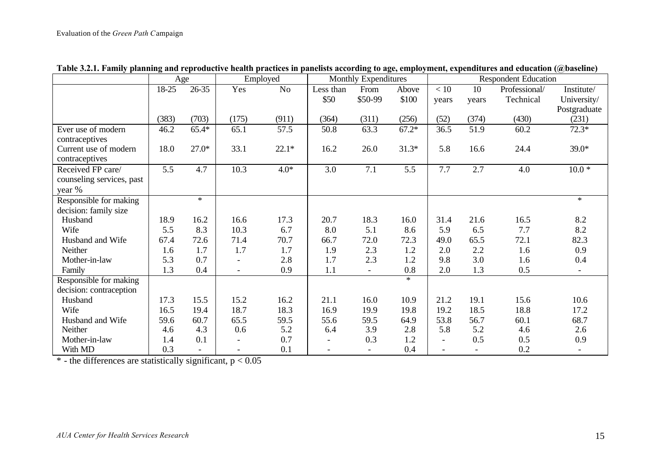|                           | Age     |                  |                          | Employed       | <b>Monthly Expenditures</b> |                          |         | <b>Respondent Education</b> |       |               |              |
|---------------------------|---------|------------------|--------------------------|----------------|-----------------------------|--------------------------|---------|-----------------------------|-------|---------------|--------------|
|                           | $18-25$ | $26 - 35$        | Yes                      | N <sub>o</sub> | Less than                   | From                     | Above   | $<10$                       | 10    | Professional/ | Institute/   |
|                           |         |                  |                          |                | \$50                        | \$50-99                  | \$100   | years                       | years | Technical     | University/  |
|                           |         |                  |                          |                |                             |                          |         |                             |       |               | Postgraduate |
|                           | (383)   | (703)            | (175)                    | (911)          | (364)                       | (311)                    | (256)   | (52)                        | (374) | (430)         | (231)        |
| Ever use of modern        | 46.2    | $65.4*$          | 65.1                     | 57.5           | 50.8                        | 63.3                     | $67.2*$ | 36.5                        | 51.9  | 60.2          | $72.3*$      |
| contraceptives            |         |                  |                          |                |                             |                          |         |                             |       |               |              |
| Current use of modern     | 18.0    | $27.0*$          | 33.1                     | $22.1*$        | 16.2                        | 26.0                     | $31.3*$ | 5.8                         | 16.6  | 24.4          | $39.0*$      |
| contraceptives            |         |                  |                          |                |                             |                          |         |                             |       |               |              |
| Received FP care/         | 5.5     | $\overline{4.7}$ | 10.3                     | $4.0*$         | 3.0                         | 7.1                      | 5.5     | 7.7                         | 2.7   | 4.0           | $10.0*$      |
| counseling services, past |         |                  |                          |                |                             |                          |         |                             |       |               |              |
| year %                    |         |                  |                          |                |                             |                          |         |                             |       |               |              |
| Responsible for making    |         | $*$              |                          |                |                             |                          |         |                             |       |               | $\ast$       |
| decision: family size     |         |                  |                          |                |                             |                          |         |                             |       |               |              |
| Husband                   | 18.9    | 16.2             | 16.6                     | 17.3           | 20.7                        | 18.3                     | 16.0    | 31.4                        | 21.6  | 16.5          | 8.2          |
| Wife                      | 5.5     | 8.3              | 10.3                     | 6.7            | 8.0                         | 5.1                      | 8.6     | 5.9                         | 6.5   | 7.7           | 8.2          |
| Husband and Wife          | 67.4    | 72.6             | 71.4                     | 70.7           | 66.7                        | 72.0                     | 72.3    | 49.0                        | 65.5  | 72.1          | 82.3         |
| Neither                   | 1.6     | 1.7              | 1.7                      | 1.7            | 1.9                         | 2.3                      | 1.2     | 2.0                         | 2.2   | 1.6           | 0.9          |
| Mother-in-law             | 5.3     | 0.7              |                          | 2.8            | 1.7                         | 2.3                      | 1.2     | 9.8                         | 3.0   | 1.6           | 0.4          |
| Family                    | 1.3     | 0.4              | $\overline{\phantom{a}}$ | 0.9            | 1.1                         | $\overline{\phantom{a}}$ | 0.8     | 2.0                         | 1.3   | 0.5           |              |
| Responsible for making    |         |                  |                          |                |                             |                          | $*$     |                             |       |               |              |
| decision: contraception   |         |                  |                          |                |                             |                          |         |                             |       |               |              |
| Husband                   | 17.3    | 15.5             | 15.2                     | 16.2           | 21.1                        | 16.0                     | 10.9    | 21.2                        | 19.1  | 15.6          | 10.6         |
| Wife                      | 16.5    | 19.4             | 18.7                     | 18.3           | 16.9                        | 19.9                     | 19.8    | 19.2                        | 18.5  | 18.8          | 17.2         |
| Husband and Wife          | 59.6    | 60.7             | 65.5                     | 59.5           | 55.6                        | 59.5                     | 64.9    | 53.8                        | 56.7  | 60.1          | 68.7         |
| Neither                   | 4.6     | 4.3              | 0.6                      | 5.2            | 6.4                         | 3.9                      | 2.8     | 5.8                         | 5.2   | 4.6           | 2.6          |
| Mother-in-law             | 1.4     | 0.1              |                          | 0.7            | $\blacksquare$              | 0.3                      | 1.2     | $\overline{\phantom{a}}$    | 0.5   | 0.5           | 0.9          |
| With MD                   | 0.3     |                  |                          | 0.1            |                             |                          | 0.4     |                             |       | 0.2           |              |

**Table 3.2.1. Family planning and reproductive health practices in panelists according to age, employment, expenditures and education (@baseline)**

 $*$  - the differences are statistically significant,  $p < 0.05$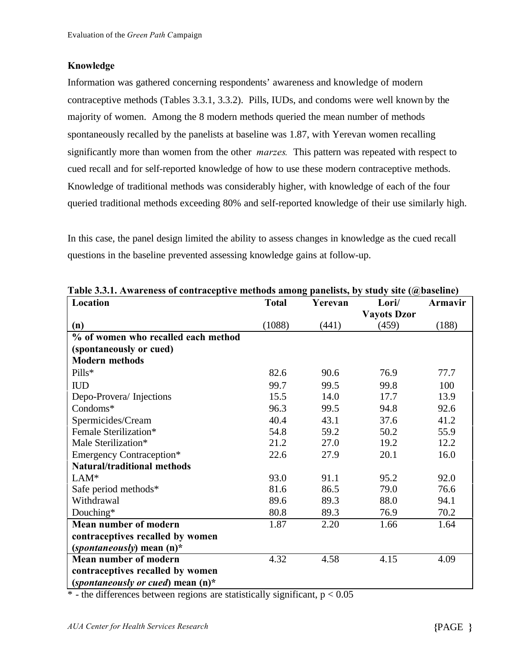#### **Knowledge**

Information was gathered concerning respondents' awareness and knowledge of modern contraceptive methods (Tables 3.3.1, 3.3.2). Pills, IUDs, and condoms were well known by the majority of women. Among the 8 modern methods queried the mean number of methods spontaneously recalled by the panelists at baseline was 1.87, with Yerevan women recalling significantly more than women from the other *marzes.* This pattern was repeated with respect to cued recall and for self-reported knowledge of how to use these modern contraceptive methods. Knowledge of traditional methods was considerably higher, with knowledge of each of the four queried traditional methods exceeding 80% and self-reported knowledge of their use similarly high.

In this case, the panel design limited the ability to assess changes in knowledge as the cued recall questions in the baseline prevented assessing knowledge gains at follow-up.

| Location                             | <b>Total</b> | Yerevan | Lori/              | Armavir |
|--------------------------------------|--------------|---------|--------------------|---------|
|                                      |              |         | <b>Vayots Dzor</b> |         |
| (n)                                  | (1088)       | (441)   | (459)              | (188)   |
| % of women who recalled each method  |              |         |                    |         |
| (spontaneously or cued)              |              |         |                    |         |
| <b>Modern methods</b>                |              |         |                    |         |
| Pills*                               | 82.6         | 90.6    | 76.9               | 77.7    |
| <b>IUD</b>                           | 99.7         | 99.5    | 99.8               | 100     |
| Depo-Provera/ Injections             | 15.5         | 14.0    | 17.7               | 13.9    |
| Condoms*                             | 96.3         | 99.5    | 94.8               | 92.6    |
| Spermicides/Cream                    | 40.4         | 43.1    | 37.6               | 41.2    |
| Female Sterilization*                | 54.8         | 59.2    | 50.2               | 55.9    |
| Male Sterilization*                  | 21.2         | 27.0    | 19.2               | 12.2    |
| <b>Emergency Contraception*</b>      | 22.6         | 27.9    | 20.1               | 16.0    |
| <b>Natural/traditional methods</b>   |              |         |                    |         |
| $LAM*$                               | 93.0         | 91.1    | 95.2               | 92.0    |
| Safe period methods*                 | 81.6         | 86.5    | 79.0               | 76.6    |
| Withdrawal                           | 89.6         | 89.3    | 88.0               | 94.1    |
| Douching*                            | 80.8         | 89.3    | 76.9               | 70.2    |
| Mean number of modern                | 1.87         | 2.20    | 1.66               | 1.64    |
| contraceptives recalled by women     |              |         |                    |         |
| (spontaneously) mean $(n)^*$         |              |         |                    |         |
| Mean number of modern                | 4.32         | 4.58    | 4.15               | 4.09    |
| contraceptives recalled by women     |              |         |                    |         |
| (spontaneously or cued) mean $(n)^*$ |              |         |                    |         |

**Table 3.3.1. Awareness of contraceptive methods among panelists, by study site (@baseline)**

 $*$  - the differences between regions are statistically significant,  $p < 0.05$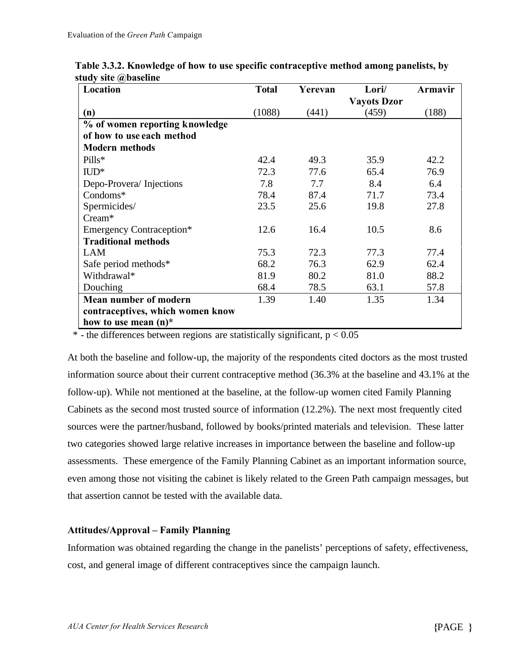| Location                         | <b>Total</b> | Yerevan | Lori/              | Armavir |
|----------------------------------|--------------|---------|--------------------|---------|
|                                  |              |         | <b>Vayots Dzor</b> |         |
| (n)                              | (1088)       | (441)   | (459)              | (188)   |
| % of women reporting knowledge   |              |         |                    |         |
| of how to use each method        |              |         |                    |         |
| <b>Modern methods</b>            |              |         |                    |         |
| Pills*                           | 42.4         | 49.3    | 35.9               | 42.2    |
| $\text{ILD}^*$                   | 72.3         | 77.6    | 65.4               | 76.9    |
| Depo-Provera/Injections          | 7.8          | 7.7     | 8.4                | 6.4     |
| $Condoms^*$                      | 78.4         | 87.4    | 71.7               | 73.4    |
| Spermicides/                     | 23.5         | 25.6    | 19.8               | 27.8    |
| $C$ ream <sup>*</sup>            |              |         |                    |         |
| <b>Emergency Contraception*</b>  | 12.6         | 16.4    | 10.5               | 8.6     |
| <b>Traditional methods</b>       |              |         |                    |         |
| <b>LAM</b>                       | 75.3         | 72.3    | 77.3               | 77.4    |
| Safe period methods*             | 68.2         | 76.3    | 62.9               | 62.4    |
| Withdrawal*                      | 81.9         | 80.2    | 81.0               | 88.2    |
| Douching                         | 68.4         | 78.5    | 63.1               | 57.8    |
| Mean number of modern            | 1.39         | 1.40    | 1.35               | 1.34    |
| contraceptives, which women know |              |         |                    |         |
| how to use mean $(n)^*$          |              |         |                    |         |

| Table 3.3.2. Knowledge of how to use specific contraceptive method among panelists, by |  |
|----------------------------------------------------------------------------------------|--|
| study site @baseline                                                                   |  |

 $*$  - the differences between regions are statistically significant,  $p < 0.05$ 

At both the baseline and follow-up, the majority of the respondents cited doctors as the most trusted information source about their current contraceptive method (36.3% at the baseline and 43.1% at the follow-up). While not mentioned at the baseline, at the follow-up women cited Family Planning Cabinets as the second most trusted source of information (12.2%). The next most frequently cited sources were the partner/husband, followed by books/printed materials and television. These latter two categories showed large relative increases in importance between the baseline and follow-up assessments. These emergence of the Family Planning Cabinet as an important information source, even among those not visiting the cabinet is likely related to the Green Path campaign messages, but that assertion cannot be tested with the available data.

#### **Attitudes/Approval – Family Planning**

Information was obtained regarding the change in the panelists' perceptions of safety, effectiveness, cost, and general image of different contraceptives since the campaign launch.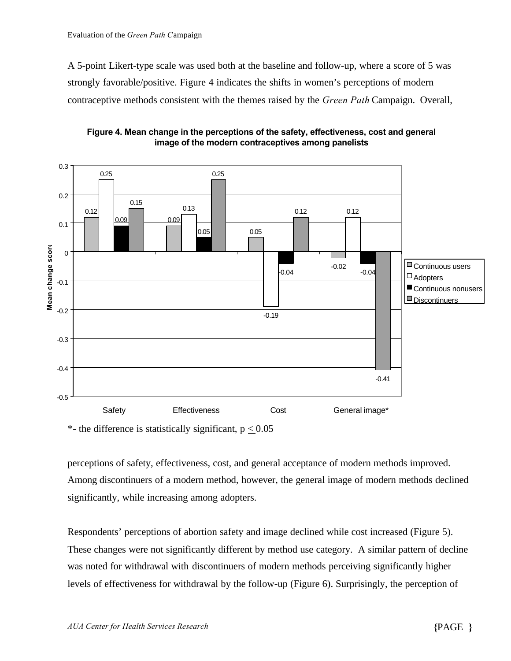A 5-point Likert-type scale was used both at the baseline and follow-up, where a score of 5 was strongly favorable/positive. Figure 4 indicates the shifts in women's perceptions of modern contraceptive methods consistent with the themes raised by the *Green Path* Campaign. Overall,



**Figure 4. Mean change in the perceptions of the safety, effectiveness, cost and general image of the modern contraceptives among panelists**

\*- the difference is statistically significant,  $p < 0.05$ 

perceptions of safety, effectiveness, cost, and general acceptance of modern methods improved. Among discontinuers of a modern method, however, the general image of modern methods declined significantly, while increasing among adopters.

Respondents' perceptions of abortion safety and image declined while cost increased (Figure 5). These changes were not significantly different by method use category. A similar pattern of decline was noted for withdrawal with discontinuers of modern methods perceiving significantly higher levels of effectiveness for withdrawal by the follow-up (Figure 6). Surprisingly, the perception of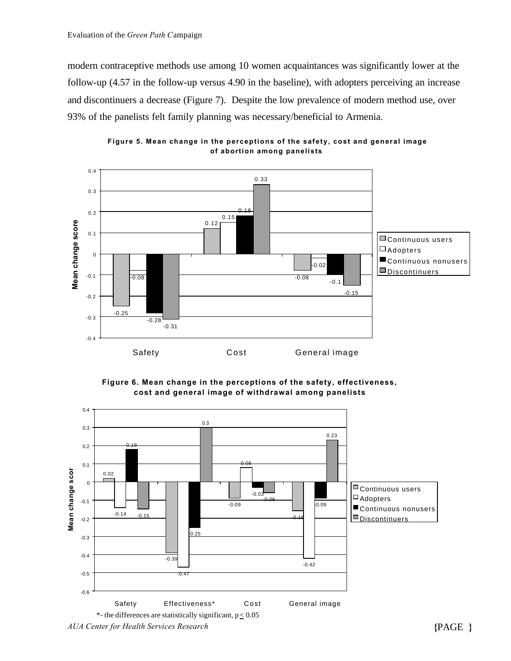modern contraceptive methods use among 10 women acquaintances was significantly lower at the follow-up (4.57 in the follow-up versus 4.90 in the baseline), with adopters perceiving an increase and discontinuers a decrease (Figure 7). Despite the low prevalence of modern method use, over 93% of the panelists felt family planning was necessary/beneficial to Armenia.



**Figure 5. Mean change in the perceptions of the safety, cost and general image of abortion among panelists**



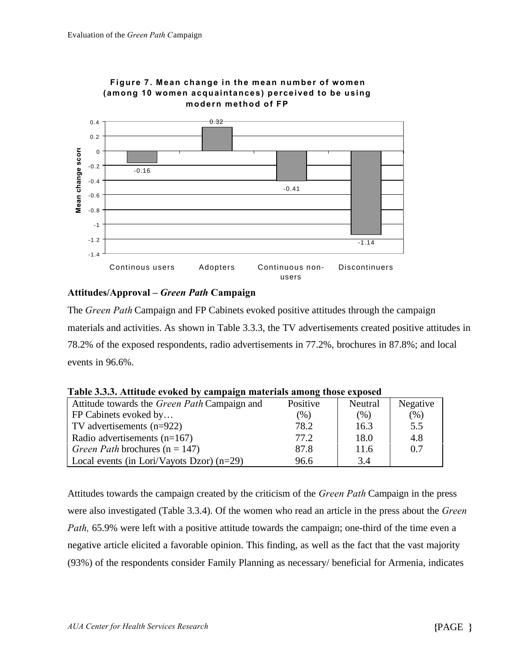

# **Figure 7. Mean change in the mean number of women**

#### **Attitudes/Approval –** *Green Path* **Campaign**

The *Green Path* Campaign and FP Cabinets evoked positive attitudes through the campaign materials and activities. As shown in Table 3.3.3, the TV advertisements created positive attitudes in 78.2% of the exposed respondents, radio advertisements in 77.2%, brochures in 87.8%; and local events in 96.6%.

| Attitude towards the Green Path Campaign and | Positive | Neutral | Negative |  |  |  |  |
|----------------------------------------------|----------|---------|----------|--|--|--|--|
| FP Cabinets evoked by                        | $(\%)$   | (%)     | (% )     |  |  |  |  |
| TV advertisements (n=922)                    | 78.2     | 16.3    | 5.5      |  |  |  |  |
| Radio advertisements $(n=167)$               | 77.2     | 18.0    | 4.8      |  |  |  |  |
| Green Path brochures ( $n = 147$ )           | 87.8     | 11.6    | 0.7      |  |  |  |  |
| Local events (in Lori/Vayots Dzor) $(n=29)$  | 96.6     | 3.4     |          |  |  |  |  |

**Table 3.3.3. Attitude evoked by campaign materials among those exposed**

Attitudes towards the campaign created by the criticism of the *Green Path* Campaign in the press were also investigated (Table 3.3.4). Of the women who read an article in the press about the *Green Path,* 65.9% were left with a positive attitude towards the campaign; one-third of the time even a negative article elicited a favorable opinion. This finding, as well as the fact that the vast majority (93%) of the respondents consider Family Planning as necessary/ beneficial for Armenia, indicates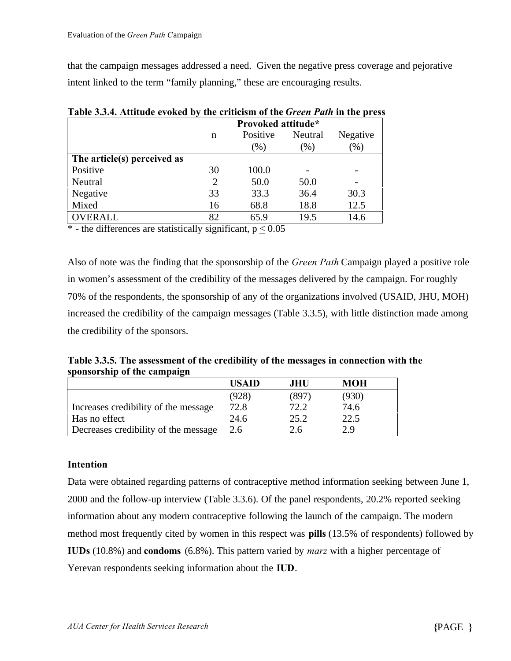that the campaign messages addressed a need. Given the negative press coverage and pejorative intent linked to the term "family planning," these are encouraging results.

|                             | Provoked attitude* |          |         |                          |  |  |
|-----------------------------|--------------------|----------|---------|--------------------------|--|--|
|                             | n                  | Positive | Neutral | Negative                 |  |  |
|                             |                    | $(\%)$   | $(\%)$  | (%)                      |  |  |
| The article(s) perceived as |                    |          |         |                          |  |  |
| Positive                    | 30                 | 100.0    |         | $\overline{\phantom{0}}$ |  |  |
| Neutral                     | 2                  | 50.0     | 50.0    | $\overline{\phantom{0}}$ |  |  |
| Negative                    | 33                 | 33.3     | 36.4    | 30.3                     |  |  |
| Mixed                       | 16                 | 68.8     | 18.8    | 12.5                     |  |  |
| <b>OVERALL</b>              | 82                 | 65.9     | 19.5    | 14.6                     |  |  |

**Table 3.3.4. Attitude evoked by the criticism of the** *Green Path* **in the press**

 $*$  - the differences are statistically significant,  $p < 0.05$ 

Also of note was the finding that the sponsorship of the *Green Path* Campaign played a positive role in women's assessment of the credibility of the messages delivered by the campaign. For roughly 70% of the respondents, the sponsorship of any of the organizations involved (USAID, JHU, MOH) increased the credibility of the campaign messages (Table 3.3.5), with little distinction made among the credibility of the sponsors.

**Table 3.3.5. The assessment of the credibility of the messages in connection with the sponsorship of the campaign**

|                                      | <b>HSAID</b> | JHU.  | MOH   |  |
|--------------------------------------|--------------|-------|-------|--|
|                                      | (928)        | (897) | (930) |  |
| Increases credibility of the message | 72.8         | 72.2  | 74.6  |  |
| Has no effect                        | 24.6         | 25.2  | 22.5  |  |
| Decreases credibility of the message | 2.6          | 2.6   | 2.9   |  |

#### **Intention**

Data were obtained regarding patterns of contraceptive method information seeking between June 1, 2000 and the follow-up interview (Table 3.3.6). Of the panel respondents, 20.2% reported seeking information about any modern contraceptive following the launch of the campaign. The modern method most frequently cited by women in this respect was **pills** (13.5% of respondents) followed by **IUDs** (10.8%) and **condoms** (6.8%). This pattern varied by *marz* with a higher percentage of Yerevan respondents seeking information about the **IUD**.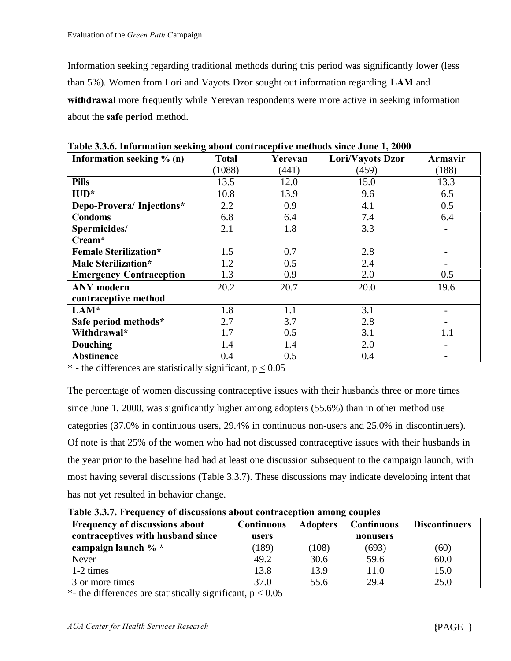Information seeking regarding traditional methods during this period was significantly lower (less than 5%). Women from Lori and Vayots Dzor sought out information regarding **LAM** and **withdrawal** more frequently while Yerevan respondents were more active in seeking information about the **safe period** method.

| Information seeking % (n)      | <b>Total</b> | Yerevan | Lori/Vayots Dzor | Armavir                  |
|--------------------------------|--------------|---------|------------------|--------------------------|
|                                | (1088)       | (441)   | (459)            | (188)                    |
| <b>Pills</b>                   | 13.5         | 12.0    | 15.0             | 13.3                     |
| $IUD*$                         | 10.8         | 13.9    | 9.6              | 6.5                      |
| Depo-Provera/Injections*       | 2.2          | 0.9     | 4.1              | 0.5                      |
| <b>Condoms</b>                 | 6.8          | 6.4     | 7.4              | 6.4                      |
| Spermicides/                   | 2.1          | 1.8     | 3.3              | $\overline{\phantom{a}}$ |
| Cream*                         |              |         |                  |                          |
| <b>Female Sterilization*</b>   | 1.5          | 0.7     | 2.8              |                          |
| Male Sterilization*            | 1.2          | 0.5     | 2.4              |                          |
| <b>Emergency Contraception</b> | 1.3          | 0.9     | 2.0              | 0.5                      |
| <b>ANY</b> modern              | 20.2         | 20.7    | 20.0             | 19.6                     |
| contraceptive method           |              |         |                  |                          |
| LAM*                           | 1.8          | 1.1     | 3.1              |                          |
| Safe period methods*           | 2.7          | 3.7     | 2.8              |                          |
| Withdrawal*                    | 1.7          | 0.5     | 3.1              | 1.1                      |
| <b>Douching</b>                | 1.4          | 1.4     | 2.0              | $\overline{\phantom{a}}$ |
| <b>Abstinence</b>              | 0.4          | 0.5     | 0.4              |                          |

**Table 3.3.6. Information seeking about contraceptive methods since June 1, 2000**

 $*$  - the differences are statistically significant,  $p < 0.05$ 

The percentage of women discussing contraceptive issues with their husbands three or more times since June 1, 2000, was significantly higher among adopters (55.6%) than in other method use categories (37.0% in continuous users, 29.4% in continuous non-users and 25.0% in discontinuers). Of note is that 25% of the women who had not discussed contraceptive issues with their husbands in the year prior to the baseline had had at least one discussion subsequent to the campaign launch, with most having several discussions (Table 3.3.7). These discussions may indicate developing intent that has not yet resulted in behavior change.

**Table 3.3.7. Frequency of discussions about contraception among couples**

| <b>Frequency of discussions about</b> | <b>Continuous</b> | <b>Adopters</b> | <b>Continuous</b> | <b>Discontinuers</b> |
|---------------------------------------|-------------------|-----------------|-------------------|----------------------|
| contraceptives with husband since     | users             |                 | nonusers          |                      |
| campaign launch % *                   | 189)              | 108)            | (693)             | (60)                 |
| Never                                 | 49.2              | 30.6            | 59.6              | 60.0                 |
| $1-2 \times$                          | 13.8              | 13.9            | 11.0              | 15.0                 |
| 3 or more times                       | 37.0              | 55.6            | 29.4              | 25.0                 |

\*- the differences are statistically significant,  $p \le 0.05$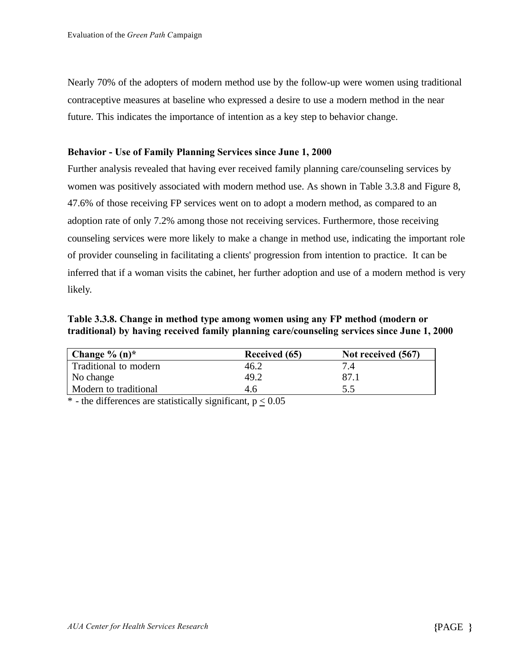Nearly 70% of the adopters of modern method use by the follow-up were women using traditional contraceptive measures at baseline who expressed a desire to use a modern method in the near future. This indicates the importance of intention as a key step to behavior change.

#### **Behavior - Use of Family Planning Services since June 1, 2000**

Further analysis revealed that having ever received family planning care/counseling services by women was positively associated with modern method use. As shown in Table 3.3.8 and Figure 8, 47.6% of those receiving FP services went on to adopt a modern method, as compared to an adoption rate of only 7.2% among those not receiving services. Furthermore, those receiving counseling services were more likely to make a change in method use, indicating the important role of provider counseling in facilitating a clients' progression from intention to practice. It can be inferred that if a woman visits the cabinet, her further adoption and use of a modern method is very likely.

**Table 3.3.8. Change in method type among women using any FP method (modern or traditional) by having received family planning care/counseling services since June 1, 2000**

| Change $\%$ (n) <sup>*</sup> | Received (65) | Not received (567) |
|------------------------------|---------------|--------------------|
| Traditional to modern        | 46.2          |                    |
| No change                    | 49.2          |                    |
| Modern to traditional        | 4.6           |                    |

 $*$  - the differences are statistically significant,  $p < 0.05$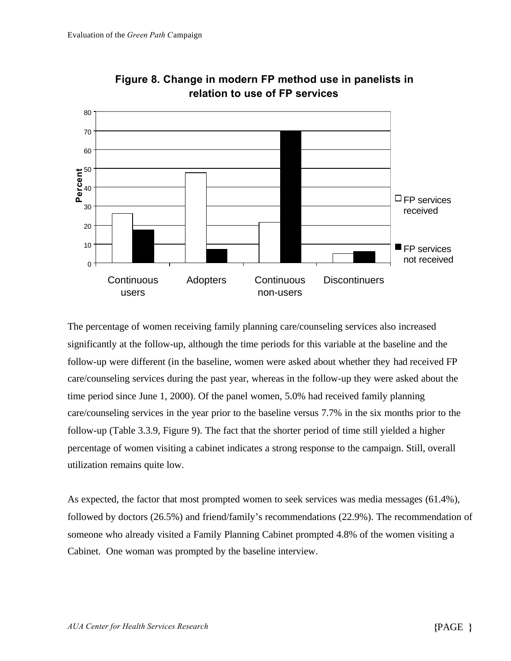

**Figure 8. Change in modern FP method use in panelists in relation to use of FP services**

The percentage of women receiving family planning care/counseling services also increased significantly at the follow-up, although the time periods for this variable at the baseline and the follow-up were different (in the baseline, women were asked about whether they had received FP care/counseling services during the past year, whereas in the follow-up they were asked about the time period since June 1, 2000). Of the panel women, 5.0% had received family planning care/counseling services in the year prior to the baseline versus 7.7% in the six months prior to the follow-up (Table 3.3.9, Figure 9). The fact that the shorter period of time still yielded a higher percentage of women visiting a cabinet indicates a strong response to the campaign. Still, overall utilization remains quite low.

As expected, the factor that most prompted women to seek services was media messages (61.4%), followed by doctors (26.5%) and friend/family's recommendations (22.9%). The recommendation of someone who already visited a Family Planning Cabinet prompted 4.8% of the women visiting a Cabinet. One woman was prompted by the baseline interview.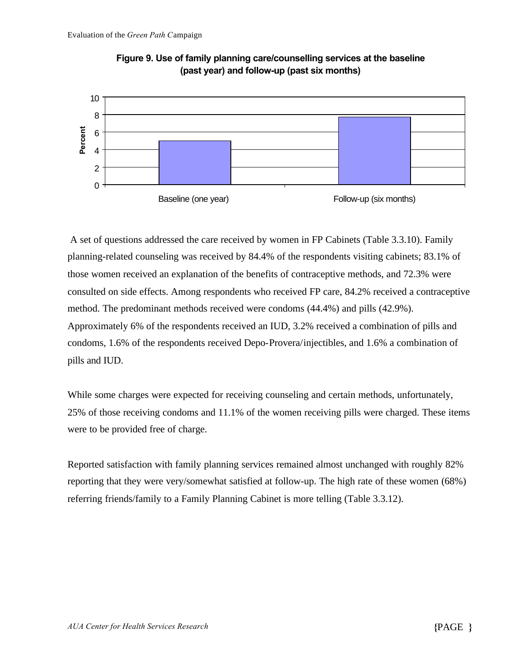



 A set of questions addressed the care received by women in FP Cabinets (Table 3.3.10). Family planning-related counseling was received by 84.4% of the respondents visiting cabinets; 83.1% of those women received an explanation of the benefits of contraceptive methods, and 72.3% were consulted on side effects. Among respondents who received FP care, 84.2% received a contraceptive method. The predominant methods received were condoms (44.4%) and pills (42.9%). Approximately 6% of the respondents received an IUD, 3.2% received a combination of pills and condoms, 1.6% of the respondents received Depo-Provera/injectibles, and 1.6% a combination of pills and IUD.

While some charges were expected for receiving counseling and certain methods, unfortunately, 25% of those receiving condoms and 11.1% of the women receiving pills were charged. These items were to be provided free of charge.

Reported satisfaction with family planning services remained almost unchanged with roughly 82% reporting that they were very/somewhat satisfied at follow-up. The high rate of these women (68%) referring friends/family to a Family Planning Cabinet is more telling (Table 3.3.12).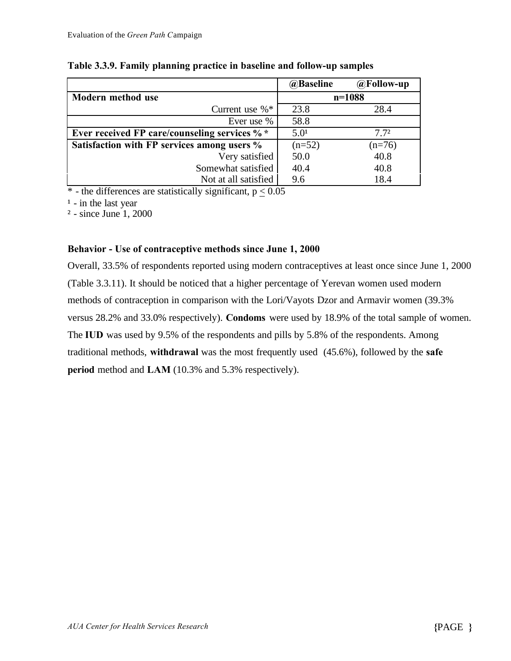|                                               | @Baseline        | $@$ Follow-up    |
|-----------------------------------------------|------------------|------------------|
| Modern method use                             |                  | $n=1088$         |
| Current use $\%$ <sup>*</sup>                 | 23.8             | 28.4             |
| Ever use %                                    | 58.8             |                  |
| Ever received FP care/counseling services % * | 5.0 <sup>1</sup> | 7.7 <sup>2</sup> |
| Satisfaction with FP services among users %   | $(n=52)$         | $(n=76)$         |
| Very satisfied                                | 50.0             | 40.8             |
| Somewhat satisfied                            | 40.4             | 40.8             |
| Not at all satisfied                          | 9.6              | 18.4             |

#### **Table 3.3.9. Family planning practice in baseline and follow-up samples**

 $*$  - the differences are statistically significant,  $p < 0.05$ 

 $<sup>1</sup>$  - in the last year</sup>

² - since June 1, 2000

#### **Behavior - Use of contraceptive methods since June 1, 2000**

Overall, 33.5% of respondents reported using modern contraceptives at least once since June 1, 2000 (Table 3.3.11). It should be noticed that a higher percentage of Yerevan women used modern methods of contraception in comparison with the Lori/Vayots Dzor and Armavir women (39.3% versus 28.2% and 33.0% respectively). **Condoms** were used by 18.9% of the total sample of women. The **IUD** was used by 9.5% of the respondents and pills by 5.8% of the respondents. Among traditional methods, **withdrawal** was the most frequently used (45.6%), followed by the **safe period** method and **LAM** (10.3% and 5.3% respectively).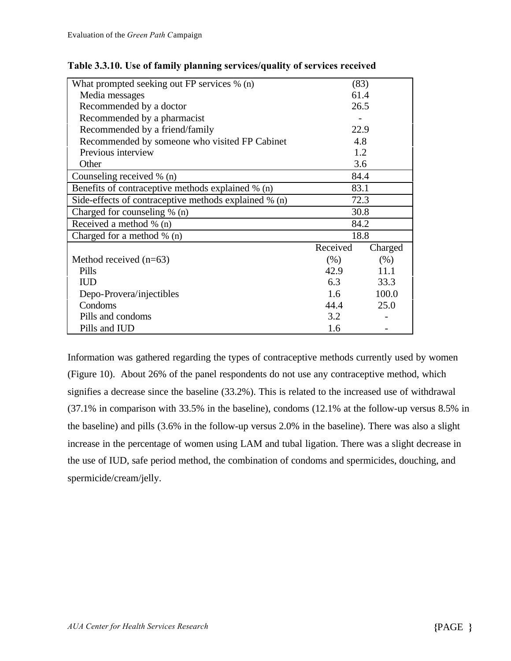| What prompted seeking out FP services % (n)           | (83)     |         |
|-------------------------------------------------------|----------|---------|
| Media messages                                        | 61.4     |         |
| Recommended by a doctor                               | 26.5     |         |
| Recommended by a pharmacist                           |          |         |
| Recommended by a friend/family                        | 22.9     |         |
| Recommended by someone who visited FP Cabinet         | 4.8      |         |
| Previous interview                                    |          | 1.2     |
| Other                                                 | 3.6      |         |
| Counseling received % (n)                             | 84.4     |         |
| Benefits of contraceptive methods explained % (n)     | 83.1     |         |
| Side-effects of contraceptive methods explained % (n) | 72.3     |         |
| Charged for counseling % (n)                          | 30.8     |         |
| Received a method % (n)                               | 84.2     |         |
| Charged for a method $\%$ (n)                         | 18.8     |         |
|                                                       | Received | Charged |
| Method received $(n=63)$                              | (% )     | (% )    |
| Pills                                                 | 42.9     | 11.1    |
| <b>IUD</b>                                            | 6.3      | 33.3    |
| Depo-Provera/injectibles                              | 1.6      | 100.0   |
| Condoms                                               | 44.4     | 25.0    |
| Pills and condoms                                     | 3.2      |         |
| Pills and IUD                                         | 1.6      |         |

| Table 3.3.10. Use of family planning services/quality of services received |  |  |  |  |
|----------------------------------------------------------------------------|--|--|--|--|
|                                                                            |  |  |  |  |

Information was gathered regarding the types of contraceptive methods currently used by women (Figure 10). About 26% of the panel respondents do not use any contraceptive method, which signifies a decrease since the baseline (33.2%). This is related to the increased use of withdrawal (37.1% in comparison with 33.5% in the baseline), condoms (12.1% at the follow-up versus 8.5% in the baseline) and pills (3.6% in the follow-up versus 2.0% in the baseline). There was also a slight increase in the percentage of women using LAM and tubal ligation. There was a slight decrease in the use of IUD, safe period method, the combination of condoms and spermicides, douching, and spermicide/cream/jelly.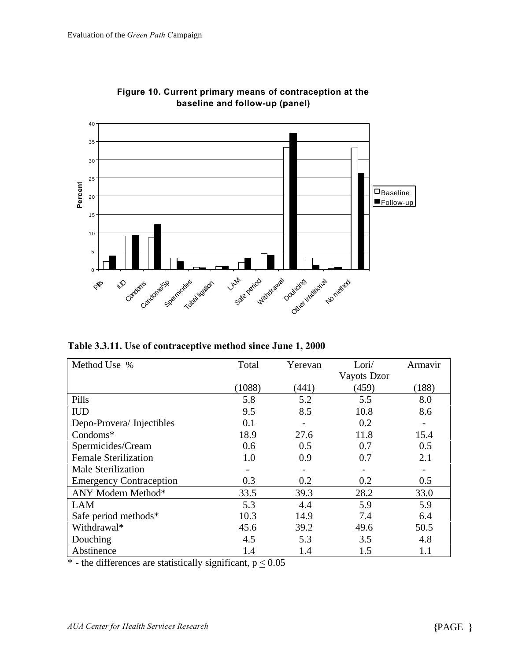

**Figure 10. Current primary means of contraception at the baseline and follow-up (panel)**

**Table 3.3.11. Use of contraceptive method since June 1, 2000**

| Method Use %                   | Total  | Yerevan | Lori/       | Armavir |
|--------------------------------|--------|---------|-------------|---------|
|                                |        |         | Vayots Dzor |         |
|                                | (1088) | (441)   | (459)       | (188)   |
| Pills                          | 5.8    | 5.2     | 5.5         | 8.0     |
| <b>IUD</b>                     | 9.5    | 8.5     | 10.8        | 8.6     |
| Depo-Provera/Injectibles       | 0.1    |         | 0.2         |         |
| $Condoms^*$                    | 18.9   | 27.6    | 11.8        | 15.4    |
| Spermicides/Cream              | 0.6    | 0.5     | 0.7         | 0.5     |
| <b>Female Sterilization</b>    | 1.0    | 0.9     | 0.7         | 2.1     |
| <b>Male Sterilization</b>      |        |         |             |         |
| <b>Emergency Contraception</b> | 0.3    | 0.2     | 0.2         | 0.5     |
| ANY Modern Method*             | 33.5   | 39.3    | 28.2        | 33.0    |
| <b>LAM</b>                     | 5.3    | 4.4     | 5.9         | 5.9     |
| Safe period methods*           | 10.3   | 14.9    | 7.4         | 6.4     |
| Withdrawal*                    | 45.6   | 39.2    | 49.6        | 50.5    |
| Douching                       | 4.5    | 5.3     | 3.5         | 4.8     |
| Abstinence                     | 1.4    | 1.4     | 1.5         | $1.1\,$ |

\* - the differences are statistically significant,  $p \le 0.05$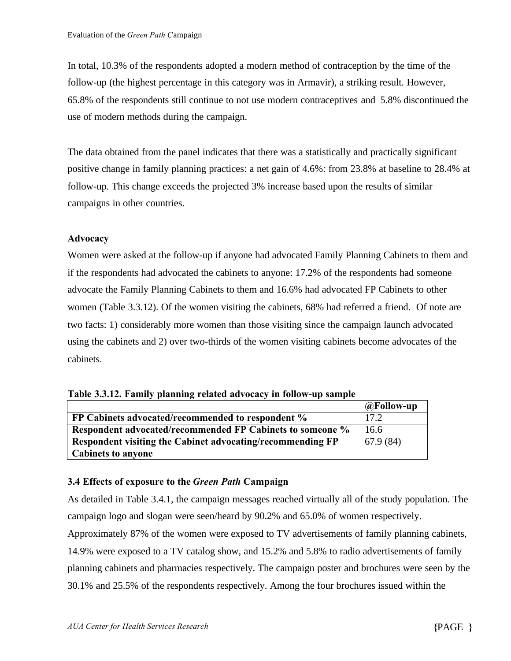In total, 10.3% of the respondents adopted a modern method of contraception by the time of the follow-up (the highest percentage in this category was in Armavir), a striking result. However, 65.8% of the respondents still continue to not use modern contraceptives and 5.8% discontinued the use of modern methods during the campaign.

The data obtained from the panel indicates that there was a statistically and practically significant positive change in family planning practices: a net gain of 4.6%: from 23.8% at baseline to 28.4% at follow-up. This change exceeds the projected 3% increase based upon the results of similar campaigns in other countries.

#### **Advocacy**

Women were asked at the follow-up if anyone had advocated Family Planning Cabinets to them and if the respondents had advocated the cabinets to anyone: 17.2% of the respondents had someone advocate the Family Planning Cabinets to them and 16.6% had advocated FP Cabinets to other women (Table 3.3.12). Of the women visiting the cabinets, 68% had referred a friend. Of note are two facts: 1) considerably more women than those visiting since the campaign launch advocated using the cabinets and 2) over two-thirds of the women visiting cabinets become advocates of the cabinets.

|  | Table 3.3.12. Family planning related advocacy in follow-up sample |  |
|--|--------------------------------------------------------------------|--|
|  |                                                                    |  |

|                                                            | $@$ Follow-up |
|------------------------------------------------------------|---------------|
| FP Cabinets advocated/recommended to respondent %          | 17.2          |
| Respondent advocated/recommended FP Cabinets to someone %  | 16.6          |
| Respondent visiting the Cabinet advocating/recommending FP | 67.9(84)      |
| <b>Cabinets to anyone</b>                                  |               |

#### **3.4 Effects of exposure to the** *Green Path* **Campaign**

As detailed in Table 3.4.1, the campaign messages reached virtually all of the study population. The campaign logo and slogan were seen/heard by 90.2% and 65.0% of women respectively.

Approximately 87% of the women were exposed to TV advertisements of family planning cabinets, 14.9% were exposed to a TV catalog show, and 15.2% and 5.8% to radio advertisements of family planning cabinets and pharmacies respectively. The campaign poster and brochures were seen by the 30.1% and 25.5% of the respondents respectively. Among the four brochures issued within the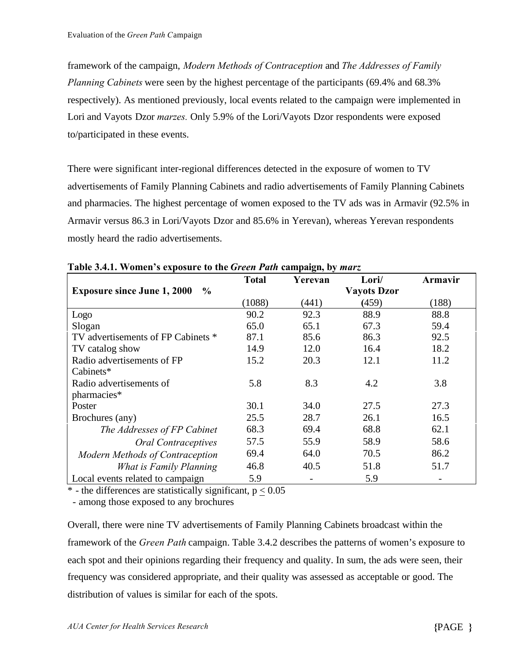framework of the campaign, *Modern Methods of Contraception* and *The Addresses of Family Planning Cabinets* were seen by the highest percentage of the participants (69.4% and 68.3% respectively). As mentioned previously, local events related to the campaign were implemented in Lori and Vayots Dzor *marzes.* Only 5.9% of the Lori/Vayots Dzor respondents were exposed to/participated in these events.

There were significant inter-regional differences detected in the exposure of women to TV advertisements of Family Planning Cabinets and radio advertisements of Family Planning Cabinets and pharmacies. The highest percentage of women exposed to the TV ads was in Armavir (92.5% in Armavir versus 86.3 in Lori/Vayots Dzor and 85.6% in Yerevan), whereas Yerevan respondents mostly heard the radio advertisements.

|                                                     | <b>Total</b> | Yerevan | Lori/              | Armavir |
|-----------------------------------------------------|--------------|---------|--------------------|---------|
| <b>Exposure since June 1, 2000</b><br>$\frac{6}{9}$ |              |         | <b>Vayots Dzor</b> |         |
|                                                     | (1088)       | (441)   | (459)              | (188)   |
| Logo                                                | 90.2         | 92.3    | 88.9               | 88.8    |
| Slogan                                              | 65.0         | 65.1    | 67.3               | 59.4    |
| TV advertisements of FP Cabinets *                  | 87.1         | 85.6    | 86.3               | 92.5    |
| TV catalog show                                     | 14.9         | 12.0    | 16.4               | 18.2    |
| Radio advertisements of FP                          | 15.2         | 20.3    | 12.1               | 11.2    |
| Cabinets*                                           |              |         |                    |         |
| Radio advertisements of                             | 5.8          | 8.3     | 4.2                | 3.8     |
| pharmacies*                                         |              |         |                    |         |
| Poster                                              | 30.1         | 34.0    | 27.5               | 27.3    |
| Brochures (any)                                     | 25.5         | 28.7    | 26.1               | 16.5    |
| The Addresses of FP Cabinet                         | 68.3         | 69.4    | 68.8               | 62.1    |
| <b>Oral Contraceptives</b>                          | 57.5         | 55.9    | 58.9               | 58.6    |
| Modern Methods of Contraception                     | 69.4         | 64.0    | 70.5               | 86.2    |
| What is Family Planning                             | 46.8         | 40.5    | 51.8               | 51.7    |
| Local events related to campaign                    | 5.9          |         | 5.9                |         |

**Table 3.4.1. Women's exposure to the** *Green Path* **campaign, by** *marz*

 $*$  - the differences are statistically significant,  $p < 0.05$ 

- among those exposed to any brochures

Overall, there were nine TV advertisements of Family Planning Cabinets broadcast within the framework of the *Green Path* campaign. Table 3.4.2 describes the patterns of women's exposure to each spot and their opinions regarding their frequency and quality. In sum, the ads were seen, their frequency was considered appropriate, and their quality was assessed as acceptable or good. The distribution of values is similar for each of the spots.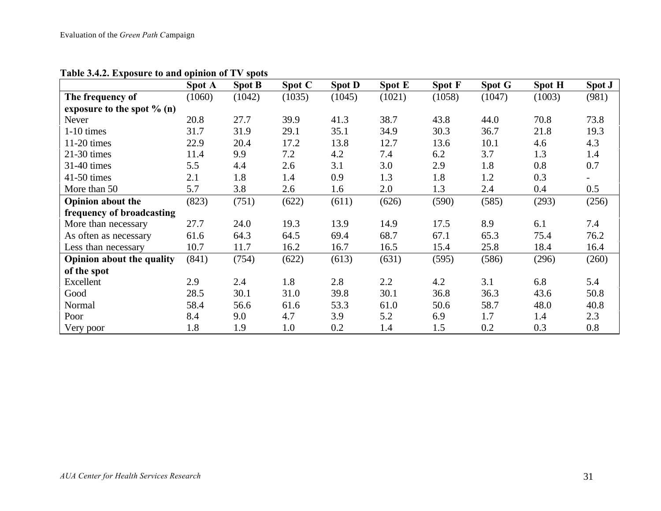|                                  | Spot A | <b>Spot B</b> | Spot C | <b>Spot D</b> | <b>Spot E</b> | <b>Spot F</b> | Spot G | <b>Spot H</b> | Spot J |
|----------------------------------|--------|---------------|--------|---------------|---------------|---------------|--------|---------------|--------|
| The frequency of                 | (1060) | (1042)        | (1035) | (1045)        | (1021)        | (1058)        | (1047) | (1003)        | (981)  |
| exposure to the spot $% (n)$     |        |               |        |               |               |               |        |               |        |
| <b>Never</b>                     | 20.8   | 27.7          | 39.9   | 41.3          | 38.7          | 43.8          | 44.0   | 70.8          | 73.8   |
| $1-10$ times                     | 31.7   | 31.9          | 29.1   | 35.1          | 34.9          | 30.3          | 36.7   | 21.8          | 19.3   |
| $11-20$ times                    | 22.9   | 20.4          | 17.2   | 13.8          | 12.7          | 13.6          | 10.1   | 4.6           | 4.3    |
| $21-30$ times                    | 11.4   | 9.9           | 7.2    | 4.2           | 7.4           | 6.2           | 3.7    | 1.3           | 1.4    |
| 31-40 times                      | 5.5    | 4.4           | 2.6    | 3.1           | 3.0           | 2.9           | 1.8    | 0.8           | 0.7    |
| 41-50 times                      | 2.1    | 1.8           | 1.4    | 0.9           | 1.3           | 1.8           | 1.2    | 0.3           |        |
| More than 50                     | 5.7    | 3.8           | 2.6    | 1.6           | 2.0           | 1.3           | 2.4    | 0.4           | 0.5    |
| <b>Opinion about the</b>         | (823)  | (751)         | (622)  | (611)         | (626)         | (590)         | (585)  | (293)         | (256)  |
| frequency of broadcasting        |        |               |        |               |               |               |        |               |        |
| More than necessary              | 27.7   | 24.0          | 19.3   | 13.9          | 14.9          | 17.5          | 8.9    | 6.1           | 7.4    |
| As often as necessary            | 61.6   | 64.3          | 64.5   | 69.4          | 68.7          | 67.1          | 65.3   | 75.4          | 76.2   |
| Less than necessary              | 10.7   | 11.7          | 16.2   | 16.7          | 16.5          | 15.4          | 25.8   | 18.4          | 16.4   |
| <b>Opinion about the quality</b> | (841)  | (754)         | (622)  | (613)         | (631)         | (595)         | (586)  | (296)         | (260)  |
| of the spot                      |        |               |        |               |               |               |        |               |        |
| Excellent                        | 2.9    | 2.4           | 1.8    | 2.8           | 2.2           | 4.2           | 3.1    | 6.8           | 5.4    |
| Good                             | 28.5   | 30.1          | 31.0   | 39.8          | 30.1          | 36.8          | 36.3   | 43.6          | 50.8   |
| Normal                           | 58.4   | 56.6          | 61.6   | 53.3          | 61.0          | 50.6          | 58.7   | 48.0          | 40.8   |
| Poor                             | 8.4    | 9.0           | 4.7    | 3.9           | 5.2           | 6.9           | 1.7    | 1.4           | 2.3    |
| Very poor                        | 1.8    | 1.9           | 1.0    | 0.2           | 1.4           | 1.5           | 0.2    | 0.3           | 0.8    |

**Table 3.4.2. Exposure to and opinion of TV spots**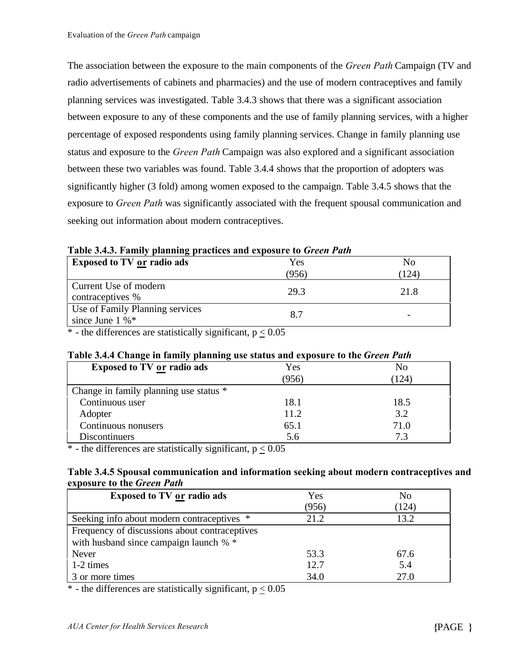The association between the exposure to the main components of the *Green Path* Campaign (TV and radio advertisements of cabinets and pharmacies) and the use of modern contraceptives and family planning services was investigated. Table 3.4.3 shows that there was a significant association between exposure to any of these components and the use of family planning services, with a higher percentage of exposed respondents using family planning services. Change in family planning use status and exposure to the *Green Path* Campaign was also explored and a significant association between these two variables was found. Table 3.4.4 shows that the proportion of adopters was significantly higher (3 fold) among women exposed to the campaign. Table 3.4.5 shows that the exposure to *Green Path* was significantly associated with the frequent spousal communication and seeking out information about modern contraceptives.

| <b>Exposed to TV or radio ads</b>                                | Yes   | N <sub>0</sub> |
|------------------------------------------------------------------|-------|----------------|
|                                                                  | (956) | (124)          |
| Current Use of modern<br>contraceptives %                        | 29.3  | 21.8           |
| Use of Family Planning services<br>since June $1\%$ <sup>*</sup> | 8.7   |                |

**Table 3.4.3. Family planning practices and exposure to** *Green Path*

 $*$  - the differences are statistically significant,  $p < 0.05$ 

#### **Table 3.4.4 Change in family planning use status and exposure to the** *Green Path*

| <b>Exposed to TV or radio ads</b>      | Yes   | No   |
|----------------------------------------|-------|------|
|                                        | (956) | 124) |
| Change in family planning use status * |       |      |
| Continuous user                        | 18.1  | 18.5 |
| Adopter                                | 11.2  | 3.2  |
| Continuous nonusers                    | 65.1  | 71.0 |
| <b>Discontinuers</b>                   | 5.6   |      |

\* - the differences are statistically significant,  $p < 0.05$ 

#### **Table 3.4.5 Spousal communication and information seeking about modern contraceptives and exposure to the** *Green Path*

| <b>Exposed to TV or radio ads</b>             | Yes   | N <sub>o</sub> |
|-----------------------------------------------|-------|----------------|
|                                               | (956) | (124)          |
| Seeking info about modern contraceptives *    | 21.2  | 13.2           |
| Frequency of discussions about contraceptives |       |                |
| with husband since campaign launch % *        |       |                |
| Never                                         | 53.3  | 67.6           |
| 1-2 times                                     | 12.7  | 5.4            |
| 3 or more times                               | 34.0  | 27.0           |

 $*$  - the differences are statistically significant,  $p < 0.05$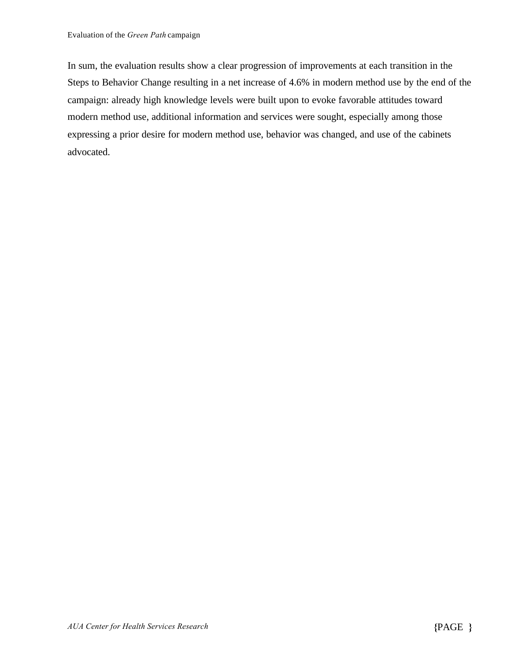In sum, the evaluation results show a clear progression of improvements at each transition in the Steps to Behavior Change resulting in a net increase of 4.6% in modern method use by the end of the campaign: already high knowledge levels were built upon to evoke favorable attitudes toward modern method use, additional information and services were sought, especially among those expressing a prior desire for modern method use, behavior was changed, and use of the cabinets advocated.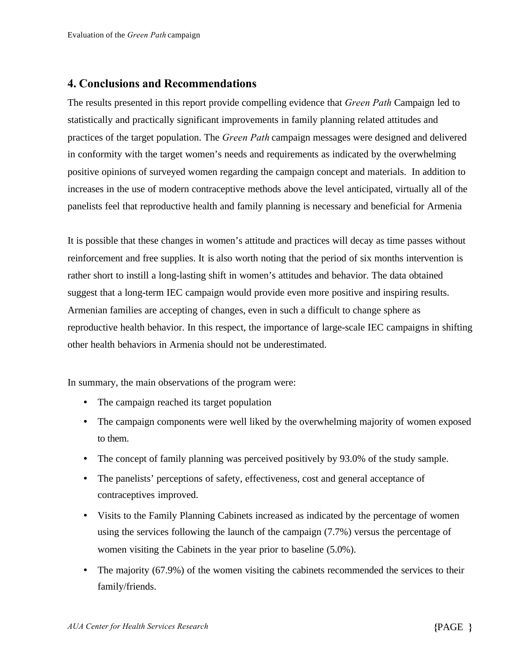#### **4. Conclusions and Recommendations**

The results presented in this report provide compelling evidence that *Green Path* Campaign led to statistically and practically significant improvements in family planning related attitudes and practices of the target population. The *Green Path* campaign messages were designed and delivered in conformity with the target women's needs and requirements as indicated by the overwhelming positive opinions of surveyed women regarding the campaign concept and materials. In addition to increases in the use of modern contraceptive methods above the level anticipated, virtually all of the panelists feel that reproductive health and family planning is necessary and beneficial for Armenia

It is possible that these changes in women's attitude and practices will decay as time passes without reinforcement and free supplies. It is also worth noting that the period of six months intervention is rather short to instill a long-lasting shift in women's attitudes and behavior. The data obtained suggest that a long-term IEC campaign would provide even more positive and inspiring results. Armenian families are accepting of changes, even in such a difficult to change sphere as reproductive health behavior. In this respect, the importance of large-scale IEC campaigns in shifting other health behaviors in Armenia should not be underestimated.

In summary, the main observations of the program were:

- The campaign reached its target population
- The campaign components were well liked by the overwhelming majority of women exposed to them.
- The concept of family planning was perceived positively by 93.0% of the study sample.
- The panelists' perceptions of safety, effectiveness, cost and general acceptance of contraceptives improved.
- Visits to the Family Planning Cabinets increased as indicated by the percentage of women using the services following the launch of the campaign (7.7%) versus the percentage of women visiting the Cabinets in the year prior to baseline (5.0%).
- The majority (67.9%) of the women visiting the cabinets recommended the services to their family/friends.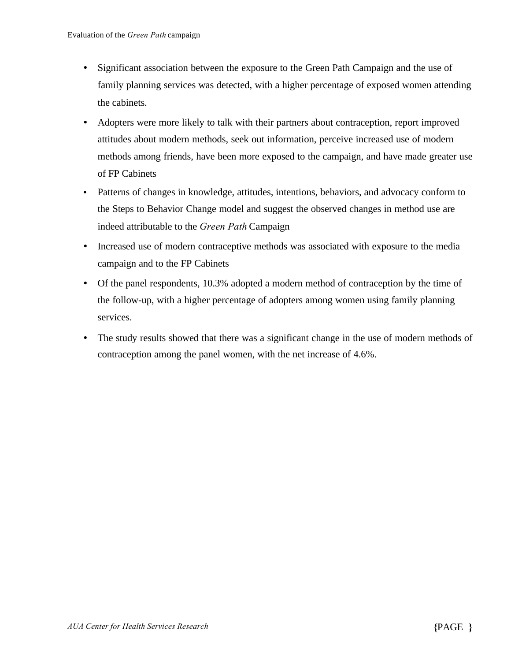- Significant association between the exposure to the Green Path Campaign and the use of family planning services was detected, with a higher percentage of exposed women attending the cabinets.
- Adopters were more likely to talk with their partners about contraception, report improved attitudes about modern methods, seek out information, perceive increased use of modern methods among friends, have been more exposed to the campaign, and have made greater use of FP Cabinets
- Patterns of changes in knowledge, attitudes, intentions, behaviors, and advocacy conform to the Steps to Behavior Change model and suggest the observed changes in method use are indeed attributable to the *Green Path* Campaign
- Increased use of modern contraceptive methods was associated with exposure to the media campaign and to the FP Cabinets
- Of the panel respondents, 10.3% adopted a modern method of contraception by the time of the follow-up, with a higher percentage of adopters among women using family planning services.
- The study results showed that there was a significant change in the use of modern methods of contraception among the panel women, with the net increase of 4.6%.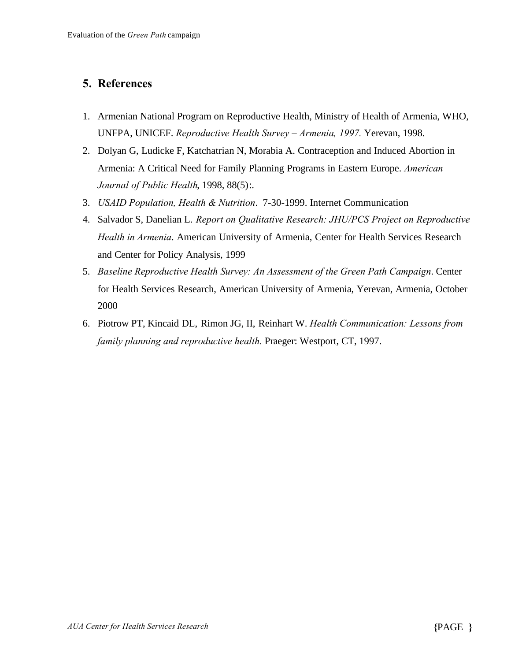#### **5. References**

- 1. Armenian National Program on Reproductive Health, Ministry of Health of Armenia, WHO, UNFPA, UNICEF. *Reproductive Health Survey – Armenia, 1997.* Yerevan, 1998.
- 2. Dolyan G, Ludicke F, Katchatrian N, Morabia A. Contraception and Induced Abortion in Armenia: A Critical Need for Family Planning Programs in Eastern Europe. *American Journal of Public Health*, 1998, 88(5):.
- 3. *USAID Population, Health & Nutrition*. 7-30-1999. Internet Communication
- 4. Salvador S, Danelian L. *Report on Qualitative Research: JHU/PCS Project on Reproductive Health in Armenia*. American University of Armenia, Center for Health Services Research and Center for Policy Analysis, 1999
- 5. *Baseline Reproductive Health Survey: An Assessment of the Green Path Campaign*. Center for Health Services Research, American University of Armenia, Yerevan, Armenia, October 2000
- 6. Piotrow PT, Kincaid DL, Rimon JG, II, Reinhart W. *Health Communication: Lessons from family planning and reproductive health.* Praeger: Westport, CT, 1997.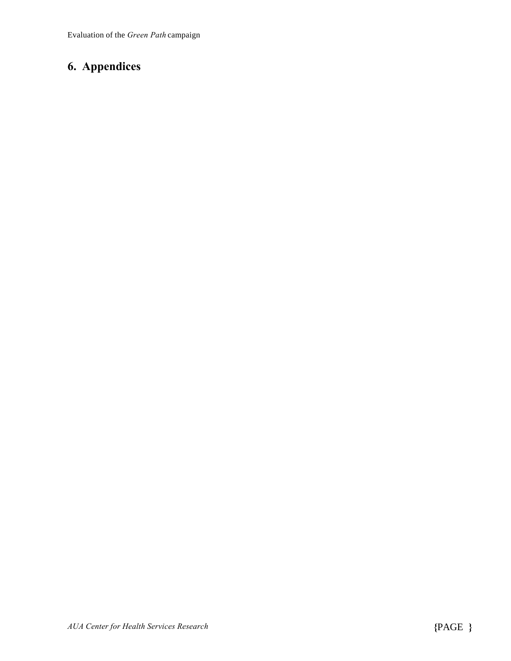## **6. Appendices**